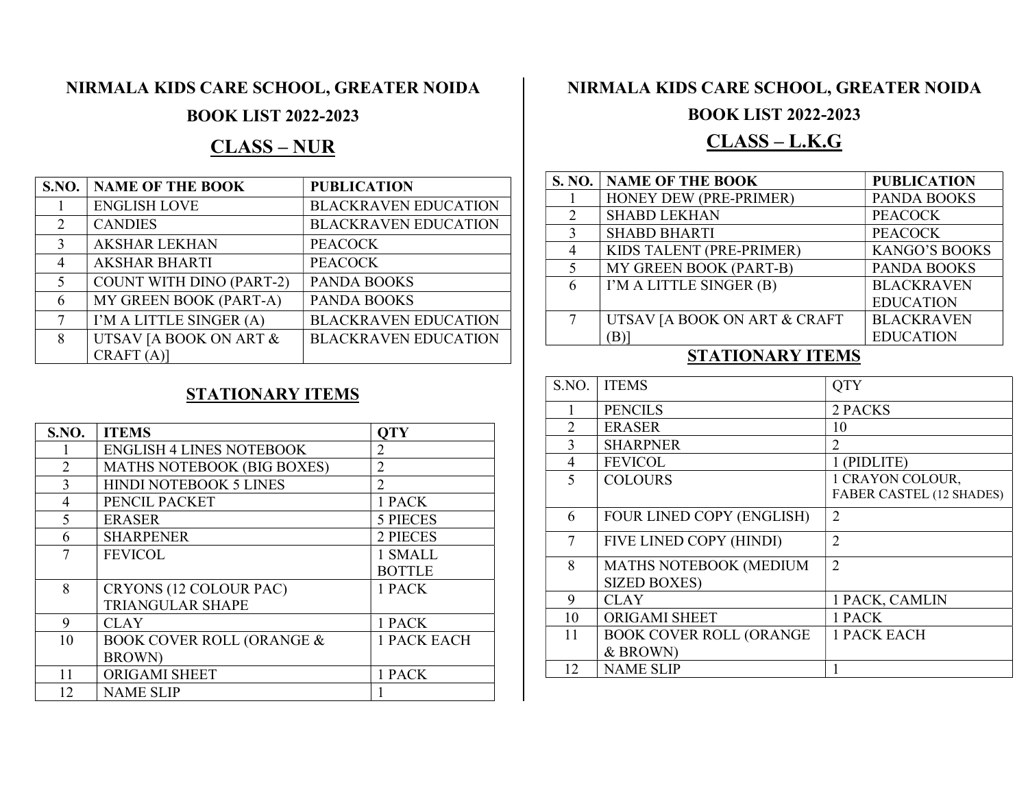# NIRMALA KIDS CARE SCHOOL, GREATER NOIDA

# BOOK LIST 2022-2023

# CLASS – NUR

|                             | <b>S.NO.   NAME OF THE BOOK</b> | <b>PUBLICATION</b>          |
|-----------------------------|---------------------------------|-----------------------------|
|                             | <b>ENGLISH LOVE</b>             | <b>BLACKRAVEN EDUCATION</b> |
| $\mathcal{D}_{\mathcal{L}}$ | <b>CANDIES</b>                  | <b>BLACKRAVEN EDUCATION</b> |
| $\mathcal{E}$               | <b>AKSHAR LEKHAN</b>            | <b>PEACOCK</b>              |
| 4                           | <b>AKSHAR BHARTI</b>            | <b>PEACOCK</b>              |
| $\overline{\mathcal{L}}$    | <b>COUNT WITH DINO (PART-2)</b> | <b>PANDA BOOKS</b>          |
| 6                           | MY GREEN BOOK (PART-A)          | <b>PANDA BOOKS</b>          |
| 7                           | I'M A LITTLE SINGER (A)         | <b>BLACKRAVEN EDUCATION</b> |
| 8                           | UTSAV JA BOOK ON ART &          | <b>BLACKRAVEN EDUCATION</b> |
|                             | CRAFT(A)                        |                             |

#### STATIONARY ITEMS

| <b>S.NO.</b>   | <b>ITEMS</b>                         | <b>OTY</b>         |
|----------------|--------------------------------------|--------------------|
|                | <b>ENGLISH 4 LINES NOTEBOOK</b>      | $\overline{2}$     |
| $\overline{2}$ | MATHS NOTEBOOK (BIG BOXES)           | $\mathfrak{D}$     |
| 3              | <b>HINDI NOTEBOOK 5 LINES</b>        | $\overline{2}$     |
| $\overline{4}$ | PENCIL PACKET                        | 1 PACK             |
| 5              | <b>ERASER</b>                        | <b>5 PIECES</b>    |
| 6              | <b>SHARPENER</b>                     | 2 PIECES           |
|                | <b>FEVICOL</b>                       | 1 SMALL            |
|                |                                      | <b>BOTTLE</b>      |
| 8              | CRYONS (12 COLOUR PAC)               | 1 PACK             |
|                | <b>TRIANGULAR SHAPE</b>              |                    |
| 9              | <b>CLAY</b>                          | 1 PACK             |
| 10             | <b>BOOK COVER ROLL (ORANGE &amp;</b> | <b>1 PACK EACH</b> |
|                | <b>BROWN</b>                         |                    |
| 11             | ORIGAMI SHEET                        | 1 PACK             |
| 12             | <b>NAME SLIP</b>                     |                    |

# NIRMALA KIDS CARE SCHOOL, GREATER NOIDA

# BOOK LIST 2022-2023

# CLASS – L.K.G

|               | <b>S. NO.   NAME OF THE BOOK</b> | <b>PUBLICATION</b>   |
|---------------|----------------------------------|----------------------|
|               | HONEY DEW (PRE-PRIMER)           | PANDA BOOKS          |
| $\mathcal{D}$ | <b>SHABD LEKHAN</b>              | <b>PEACOCK</b>       |
| $\mathcal{R}$ | <b>SHABD BHARTI</b>              | <b>PEACOCK</b>       |
|               | KIDS TALENT (PRE-PRIMER)         | <b>KANGO'S BOOKS</b> |
| $\sim$        | MY GREEN BOOK (PART-B)           | PANDA BOOKS          |
| 6             | I'M A LITTLE SINGER (B)          | <b>BLACKRAVEN</b>    |
|               |                                  | <b>EDUCATION</b>     |
| 7             | UTSAV [A BOOK ON ART & CRAFT     | <b>BLACKRAVEN</b>    |
|               |                                  | <b>EDUCATION</b>     |

#### STATIONARY ITEMS

| S.NO.                    | <b>ITEMS</b>                   | <b>QTY</b>               |
|--------------------------|--------------------------------|--------------------------|
| 1                        | <b>PENCILS</b>                 | 2 PACKS                  |
| 2                        | <b>ERASER</b>                  | 10                       |
| 3                        | <b>SHARPNER</b>                | 2                        |
| $\overline{\mathcal{A}}$ | <b>FEVICOL</b>                 | 1 (PIDLITE)              |
| 5                        | <b>COLOURS</b>                 | 1 CRAYON COLOUR,         |
|                          |                                | FABER CASTEL (12 SHADES) |
| 6                        | FOUR LINED COPY (ENGLISH)      | $\overline{2}$           |
| 7                        | FIVE LINED COPY (HINDI)        | $\overline{2}$           |
| 8                        | MATHS NOTEBOOK (MEDIUM         | $\overline{2}$           |
|                          | <b>SIZED BOXES)</b>            |                          |
| 9                        | <b>CLAY</b>                    | 1 PACK, CAMLIN           |
| 10                       | <b>ORIGAMI SHEET</b>           | 1 PACK                   |
| 11                       | <b>BOOK COVER ROLL (ORANGE</b> | 1 PACK EACH              |
|                          | & BROWN)                       |                          |
| 12                       | <b>NAME SLIP</b>               |                          |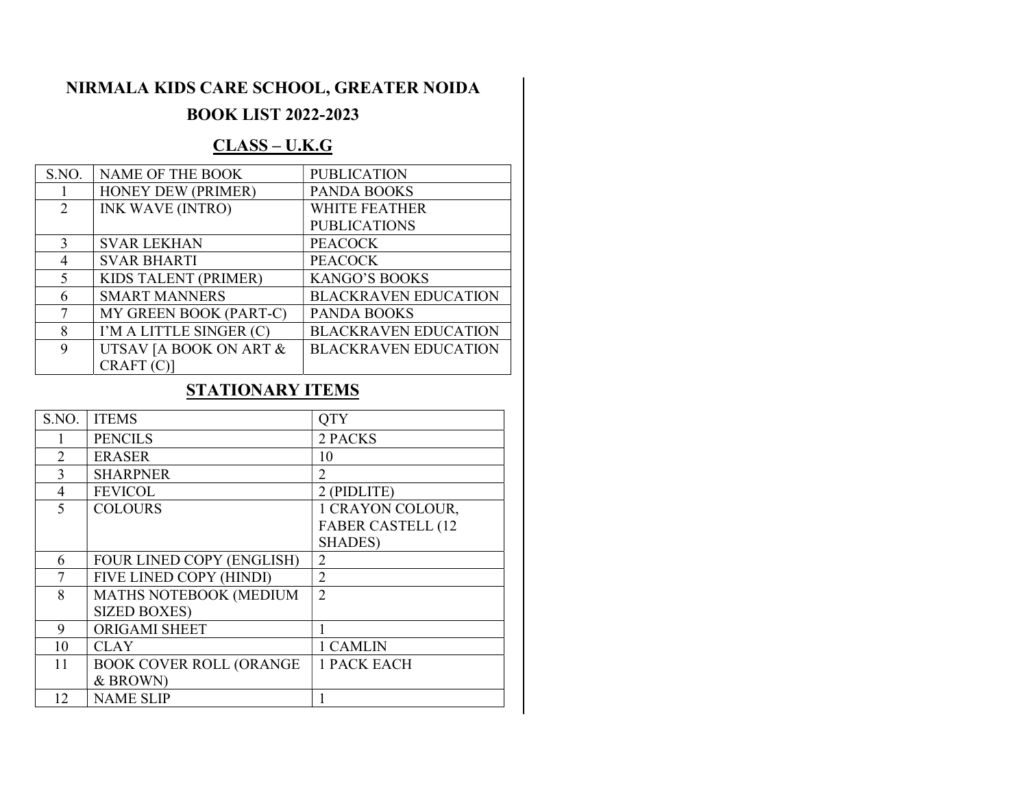# NIRMALA KIDS CARE SCHOOL, GREATER NOIDA

# BOOK LIST 2022-2023

### CLASS – U.K.G

| S.NO.                       | NAME OF THE BOOK        | <b>PUBLICATION</b>          |
|-----------------------------|-------------------------|-----------------------------|
|                             | HONEY DEW (PRIMER)      | <b>PANDA BOOKS</b>          |
| $\mathcal{D}_{\mathcal{L}}$ | <b>INK WAVE (INTRO)</b> | <b>WHITE FEATHER</b>        |
|                             |                         | <b>PUBLICATIONS</b>         |
| $\mathbf{3}$                | <b>SVAR LEKHAN</b>      | <b>PEACOCK</b>              |
| 4                           | <b>SVAR BHARTI</b>      | <b>PEACOCK</b>              |
|                             | KIDS TALENT (PRIMER)    | <b>KANGO'S BOOKS</b>        |
| 6                           | <b>SMART MANNERS</b>    | <b>BLACKRAVEN EDUCATION</b> |
|                             | MY GREEN BOOK (PART-C)  | <b>PANDA BOOKS</b>          |
| 8                           | I'M A LITTLE SINGER (C) | <b>BLACKRAVEN EDUCATION</b> |
| 9                           | UTSAV JA BOOK ON ART &  | <b>BLACKRAVEN EDUCATION</b> |
|                             | CRAFT(C)                |                             |

# STATIONARY ITEMS

| S.NO.          | <b>ITEMS</b>                   | <b>QTY</b>                  |
|----------------|--------------------------------|-----------------------------|
|                | <b>PENCILS</b>                 | 2 PACKS                     |
| $\overline{2}$ | <b>ERASER</b>                  | 10                          |
| 3              | <b>SHARPNER</b>                | $\mathcal{D}_{\mathcal{L}}$ |
| 4              | <b>FEVICOL</b>                 | 2 (PIDLITE)                 |
| 5              | <b>COLOURS</b>                 | 1 CRAYON COLOUR,            |
|                |                                | <b>FABER CASTELL (12</b>    |
|                |                                | <b>SHADES</b> )             |
| 6              | FOUR LINED COPY (ENGLISH)      | $\overline{c}$              |
| 7              | FIVE LINED COPY (HINDI)        | $\overline{2}$              |
| 8              | MATHS NOTEBOOK (MEDIUM         | $\mathfrak{D}$              |
|                | <b>SIZED BOXES)</b>            |                             |
| 9              | <b>ORIGAMI SHEET</b>           |                             |
| 10             | <b>CLAY</b>                    | 1 CAMLIN                    |
| 11             | <b>BOOK COVER ROLL (ORANGE</b> | <b>1 PACK EACH</b>          |
|                | & BROWN)                       |                             |
| 12             | <b>NAME SLIP</b>               |                             |